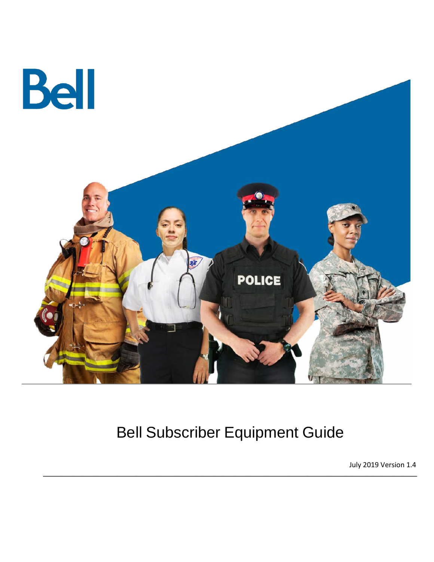

# Bell Subscriber Equipment Guide

 $\_$  . The contribution of the contribution of the contribution of the contribution of the contribution of the contribution of the contribution of the contribution of the contribution of the contribution of the contributio

July 2019 Version 1.4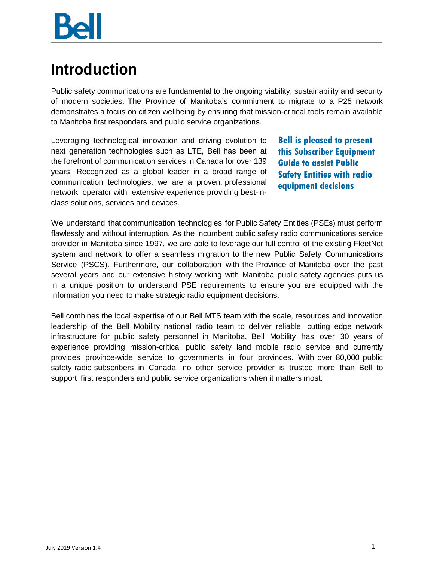## <span id="page-2-0"></span>**Introduction**

Public safety communications are fundamental to the ongoing viability, sustainability and security of modern societies. The Province of Manitoba's commitment to migrate to a P25 network demonstrates a focus on citizen wellbeing by ensuring that mission-critical tools remain available to Manitoba first responders and public service organizations.

Leveraging technological innovation and driving evolution to next generation technologies such as LTE, Bell has been at the forefront of communication services in Canada for over 139 years. Recognized as a global leader in a broad range of communication technologies, we are a proven, professional network operator with extensive experience providing best-inclass solutions, services and devices.

**Bell is pleased to present this Subscriber Equipment Guide to assist Public Safety Entities with radio equipment decisions**

We understand that communication technologies for Public Safety Entities (PSEs) must perform flawlessly and without interruption. As the incumbent public safety radio communications service provider in Manitoba since 1997, we are able to leverage our full control of the existing FleetNet system and network to offer a seamless migration to the new Public Safety Communications Service (PSCS). Furthermore, our collaboration with the Province of Manitoba over the past several years and our extensive history working with Manitoba public safety agencies puts us in a unique position to understand PSE requirements to ensure you are equipped with the information you need to make strategic radio equipment decisions.

Bell combines the local expertise of our Bell MTS team with the scale, resources and innovation leadership of the Bell Mobility national radio team to deliver reliable, cutting edge network infrastructure for public safety personnel in Manitoba. Bell Mobility has over 30 years of experience providing mission-critical public safety land mobile radio service and currently provides province-wide service to governments in four provinces. With over 80,000 public safety radio subscribers in Canada, no other service provider is trusted more than Bell to support first responders and public service organizations when it matters most.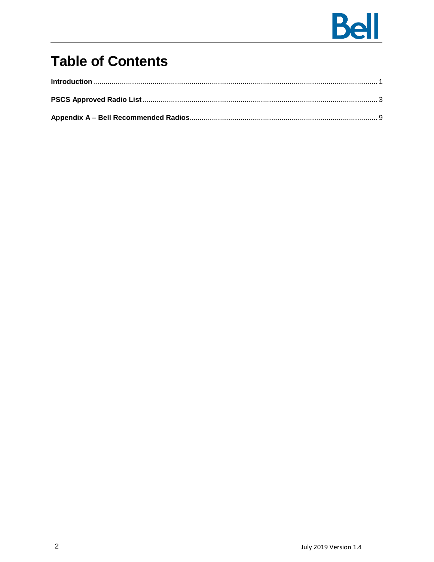

#### **Table of Contents**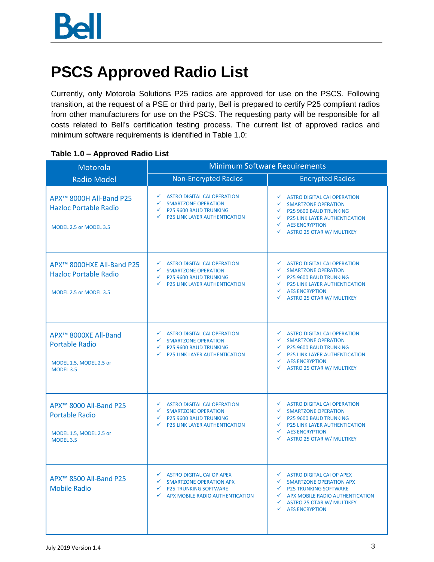# <span id="page-4-0"></span>**PSCS Approved Radio List**

Currently, only Motorola Solutions P25 radios are approved for use on the PSCS. Following transition, at the request of a PSE or third party, Bell is prepared to certify P25 compliant radios from other manufacturers for use on the PSCS. The requesting party will be responsible for all costs related to Bell's certification testing process. The current list of approved radios and minimum software requirements is identified in Table 1.0:

| Motorola                                                                                                 | <b>Minimum Software Requirements</b>                                                                                                                          |                                                                                                                                                                                                                                    |
|----------------------------------------------------------------------------------------------------------|---------------------------------------------------------------------------------------------------------------------------------------------------------------|------------------------------------------------------------------------------------------------------------------------------------------------------------------------------------------------------------------------------------|
| <b>Radio Model</b>                                                                                       | <b>Non-Encrypted Radios</b>                                                                                                                                   | <b>Encrypted Radios</b>                                                                                                                                                                                                            |
| APX <sup>™</sup> 8000H All-Band P25<br><b>Hazloc Portable Radio</b><br>MODEL 2.5 or MODEL 3.5            | <b>ASTRO DIGITAL CAI OPERATION</b><br>✓<br>✓<br><b>SMARTZONE OPERATION</b><br><b>P25 9600 BAUD TRUNKING</b><br>✓<br>✓<br><b>P25 LINK LAYER AUTHENTICATION</b> | <b>ASTRO DIGITAL CAI OPERATION</b><br><b>SMARTZONE OPERATION</b><br>$\checkmark$ P25 9600 BAUD TRUNKING<br>$\checkmark$ P25 LINK LAYER AUTHENTICATION<br><b>AES ENCRYPTION</b><br>✓<br>✓<br><b>ASTRO 25 OTAR W/ MULTIKEY</b>       |
| APX™ 8000HXE All-Band P25<br><b>Hazloc Portable Radio</b><br>MODEL 2.5 or MODEL 3.5                      | ✓<br><b>ASTRO DIGITAL CAI OPERATION</b><br>✓<br><b>SMARTZONE OPERATION</b><br><b>P25 9600 BAUD TRUNKING</b><br>✓<br><b>P25 LINK LAYER AUTHENTICATION</b><br>✓ | ✔ ASTRO DIGITAL CAI OPERATION<br>✓<br><b>SMARTZONE OPERATION</b><br>$\checkmark$ P25 9600 BAUD TRUNKING<br>$\checkmark$ P25 LINK LAYER AUTHENTICATION<br><b>AES ENCRYPTION</b><br>$\checkmark$<br><b>ASTRO 25 OTAR W/ MULTIKEY</b> |
| APX <sup>™</sup> 8000XE All-Band<br><b>Portable Radio</b><br>MODEL 1.5, MODEL 2.5 or<br><b>MODEL 3.5</b> | <b>ASTRO DIGITAL CAI OPERATION</b><br>✓<br><b>SMARTZONE OPERATION</b><br>✓<br>← P25 9600 BAUD TRUNKING<br><b>P25 LINK LAYER AUTHENTICATION</b><br>✓           | <b>ASTRO DIGITAL CAI OPERATION</b><br><b>SMARTZONE OPERATION</b><br>$\checkmark$ P25 9600 BAUD TRUNKING<br>$\checkmark$ P25 LINK LAYER AUTHENTICATION<br><b>AES ENCRYPTION</b><br>✓<br>✓<br><b>ASTRO 25 OTAR W/ MULTIKEY</b>       |
| APX <sup>™</sup> 8000 All-Band P25<br><b>Portable Radio</b><br>MODEL 1.5, MODEL 2.5 or<br>MODEL 3.5      | <b>ASTRO DIGITAL CAI OPERATION</b><br>✓<br>✓<br><b>SMARTZONE OPERATION</b><br>P25 9600 BAUD TRUNKING<br>✓<br><b>P25 LINK LAYER AUTHENTICATION</b><br>✓        | ✔ ASTRO DIGITAL CAI OPERATION<br>$\checkmark$<br><b>SMARTZONE OPERATION</b><br><b>P25 9600 BAUD TRUNKING</b><br><b>P25 LINK LAYER AUTHENTICATION</b><br>✓<br><b>AES ENCRYPTION</b><br>✓<br><b>ASTRO 25 OTAR W/ MULTIKEY</b><br>✓   |
| APX <sup>™</sup> 8500 All-Band P25<br><b>Mobile Radio</b>                                                | ✔ ASTRO DIGITAL CAI OP APEX<br>SMARTZONE OPERATION APX<br>✓<br><b>P25 TRUNKING SOFTWARE</b><br>✓<br>APX MOBILE RADIO AUTHENTICATION                           | ✔ ASTRO DIGITAL CAI OP APEX<br>SMARTZONE OPERATION APX<br>$\checkmark$ P25 TRUNKING SOFTWARE<br>APX MOBILE RADIO AUTHENTICATION<br>$\checkmark$ ASTRO 25 OTAR W/ MULTIKEY<br><b>AES ENCRYPTION</b><br>✓                            |

#### **Table 1.0 – Approved Radio List**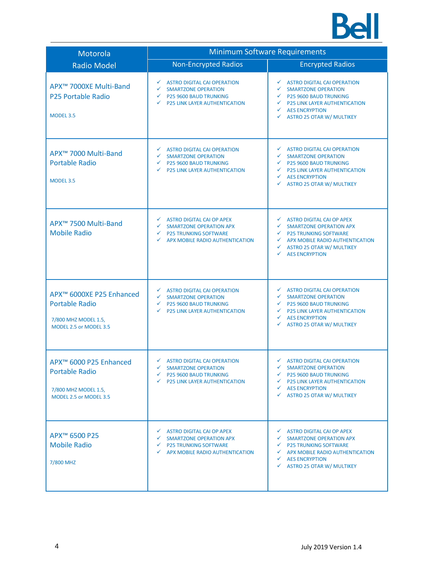

| Motorola                                                                                                      | <b>Minimum Software Requirements</b>                                                                                                                                                 |                                                                                                                                                                                                                                                     |  |
|---------------------------------------------------------------------------------------------------------------|--------------------------------------------------------------------------------------------------------------------------------------------------------------------------------------|-----------------------------------------------------------------------------------------------------------------------------------------------------------------------------------------------------------------------------------------------------|--|
| <b>Radio Model</b>                                                                                            | <b>Non-Encrypted Radios</b>                                                                                                                                                          | <b>Encrypted Radios</b>                                                                                                                                                                                                                             |  |
| APX™ 7000XE Multi-Band<br><b>P25 Portable Radio</b><br><b>MODEL 3.5</b>                                       | <b>ASTRO DIGITAL CAI OPERATION</b><br>$\checkmark$<br>✓<br><b>SMARTZONE OPERATION</b><br>P25 9600 BAUD TRUNKING<br>$\checkmark$<br><b>P25 LINK LAYER AUTHENTICATION</b><br>✓         | ✓<br><b>ASTRO DIGITAL CAI OPERATION</b><br><b>SMARTZONE OPERATION</b><br>✓<br>P25 9600 BAUD TRUNKING<br>$\checkmark$ P25 LINK LAYER AUTHENTICATION<br><b>AES ENCRYPTION</b><br>✓<br><b>ASTRO 25 OTAR W/ MULTIKEY</b>                                |  |
| APX <sup>™</sup> 7000 Multi-Band<br><b>Portable Radio</b><br>MODEL 3.5                                        | $\checkmark$<br><b>ASTRO DIGITAL CAI OPERATION</b><br>$\checkmark$<br><b>SMARTZONE OPERATION</b><br>P25 9600 BAUD TRUNKING<br>✓<br>✓<br><b>P25 LINK LAYER AUTHENTICATION</b>         | ✓<br><b>ASTRO DIGITAL CAI OPERATION</b><br>✓<br><b>SMARTZONE OPERATION</b><br>← P25 9600 BAUD TRUNKING<br><b>P25 LINK LAYER AUTHENTICATION</b><br>✓<br><b>AES ENCRYPTION</b><br>✓<br><b>ASTRO 25 OTAR W/ MULTIKEY</b>                               |  |
| APX <sup>™</sup> 7500 Multi-Band<br><b>Mobile Radio</b>                                                       | $\checkmark$ ASTRO DIGITAL CAI OP APEX<br>✓<br><b>SMARTZONE OPERATION APX</b><br><b>P25 TRUNKING SOFTWARE</b><br>✓<br>APX MOBILE RADIO AUTHENTICATION<br>✓                           | <b>ASTRO DIGITAL CAI OP APEX</b><br>✓<br><b>SMARTZONE OPERATION APX</b><br>$\checkmark$<br><b>P25 TRUNKING SOFTWARE</b><br>APX MOBILE RADIO AUTHENTICATION<br><b>ASTRO 25 OTAR W/ MULTIKEY</b><br>✓<br><b>AES ENCRYPTION</b>                        |  |
| APX™ 6000XE P25 Enhanced<br><b>Portable Radio</b><br>7/800 MHZ MODEL 1.5,<br>MODEL 2.5 or MODEL 3.5           | <b>ASTRO DIGITAL CAI OPERATION</b><br>$\checkmark$<br>$\checkmark$<br><b>SMARTZONE OPERATION</b><br>P25 9600 BAUD TRUNKING<br>✓<br>✓<br><b>P25 LINK LAYER AUTHENTICATION</b>         | ✓<br><b>ASTRO DIGITAL CAI OPERATION</b><br>✓<br><b>SMARTZONE OPERATION</b><br>P25 9600 BAUD TRUNKING<br>$\checkmark$<br>$\checkmark$<br><b>P25 LINK LAYER AUTHENTICATION</b><br><b>AES ENCRYPTION</b><br>✓<br>✓<br><b>ASTRO 25 OTAR W/ MULTIKEY</b> |  |
| APX <sup>™</sup> 6000 P25 Enhanced<br><b>Portable Radio</b><br>7/800 MHZ MODEL 1.5,<br>MODEL 2.5 or MODEL 3.5 | ✔ ASTRO DIGITAL CAI OPERATION<br><b>SMARTZONE OPERATION</b><br>✓<br>P25 9600 BAUD TRUNKING<br>✓<br><b>P25 LINK LAYER AUTHENTICATION</b><br>$\checkmark$                              | ✔ ASTRO DIGITAL CAI OPERATION<br><b>SMARTZONE OPERATION</b><br>✓<br>$\checkmark$<br><b>P25 9600 BAUD TRUNKING</b><br>$\checkmark$ P25 LINK LAYER AUTHENTICATION<br><b>AES ENCRYPTION</b><br>✓<br><b>ASTRO 25 OTAR W/ MULTIKEY</b><br>✓              |  |
| APX <sup>™</sup> 6500 P25<br><b>Mobile Radio</b><br>7/800 MHZ                                                 | $\checkmark$ ASTRO DIGITAL CAI OP APEX<br>$\checkmark$<br>SMARTZONE OPERATION APX<br><b>P25 TRUNKING SOFTWARE</b><br>$\checkmark$<br>APX MOBILE RADIO AUTHENTICATION<br>$\checkmark$ | $\checkmark$<br><b>ASTRO DIGITAL CAI OP APEX</b><br>✓<br>SMARTZONE OPERATION APX<br>$\checkmark$ P25 TRUNKING SOFTWARE<br>$\checkmark$ APX MOBILE RADIO AUTHENTICATION<br>$\checkmark$ AES ENCRYPTION<br><b>ASTRO 25 OTAR W/ MULTIKEY</b><br>✓      |  |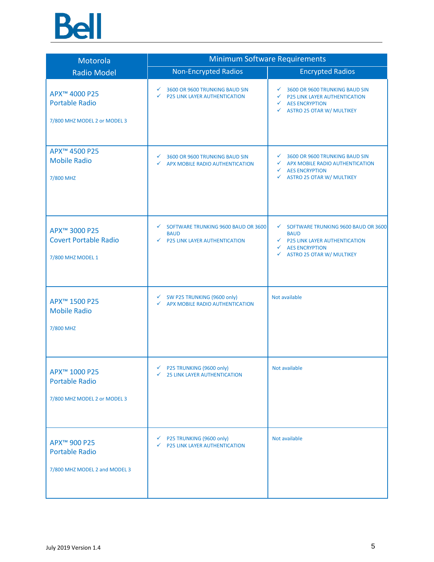

| Motorola                                                                           | <b>Minimum Software Requirements</b>                                                                       |                                                                                                                                                                                       |
|------------------------------------------------------------------------------------|------------------------------------------------------------------------------------------------------------|---------------------------------------------------------------------------------------------------------------------------------------------------------------------------------------|
| <b>Radio Model</b>                                                                 | <b>Non-Encrypted Radios</b>                                                                                | <b>Encrypted Radios</b>                                                                                                                                                               |
| APX <sup>™</sup> 4000 P25<br><b>Portable Radio</b><br>7/800 MHZ MODEL 2 or MODEL 3 | 3600 OR 9600 TRUNKING BAUD SIN<br>✓<br><b>P25 LINK LAYER AUTHENTICATION</b><br>✓                           | $\checkmark$<br>3600 OR 9600 TRUNKING BAUD SIN<br>$\checkmark$ P25 LINK LAYER AUTHENTICATION<br>$\checkmark$ AES ENCRYPTION<br>$\checkmark$ ASTRO 25 OTAR W/ MULTIKEY                 |
| APX <sup>™</sup> 4500 P25<br><b>Mobile Radio</b><br>7/800 MHZ                      | 3600 OR 9600 TRUNKING BAUD SIN<br>✓<br>APX MOBILE RADIO AUTHENTICATION<br>✓                                | $\checkmark$<br>3600 OR 9600 TRUNKING BAUD SIN<br>← APX MOBILE RADIO AUTHENTICATION<br>$\checkmark$ AES ENCRYPTION<br><b>ASTRO 25 OTAR W/ MULTIKEY</b><br>$\checkmark$                |
| APX <sup>™</sup> 3000 P25<br><b>Covert Portable Radio</b><br>7/800 MHZ MODEL 1     | SOFTWARE TRUNKING 9600 BAUD OR 3600<br>$\checkmark$<br><b>BAUD</b><br><b>P25 LINK LAYER AUTHENTICATION</b> | ◯ SOFTWARE TRUNKING 9600 BAUD OR 3600<br><b>BAUD</b><br>$\checkmark$ P25 LINK LAYER AUTHENTICATION<br>$\checkmark$ AES ENCRYPTION<br><b>ASTRO 25 OTAR W/ MULTIKEY</b><br>$\checkmark$ |
| APX <sup>™</sup> 1500 P25<br><b>Mobile Radio</b><br>7/800 MHZ                      | SW P25 TRUNKING (9600 only)<br>✓<br>APX MOBILE RADIO AUTHENTICATION<br>✓                                   | Not available                                                                                                                                                                         |
| APX <sup>™</sup> 1000 P25<br><b>Portable Radio</b><br>7/800 MHZ MODEL 2 or MODEL 3 | $\checkmark$ P25 TRUNKING (9600 only)<br><b>25 LINK LAYER AUTHENTICATION</b><br>✓                          | Not available                                                                                                                                                                         |
| APX <sup>™</sup> 900 P25<br><b>Portable Radio</b><br>7/800 MHZ MODEL 2 and MODEL 3 | ← P25 TRUNKING (9600 only)<br>$\checkmark$ P25 LINK LAYER AUTHENTICATION                                   | Not available                                                                                                                                                                         |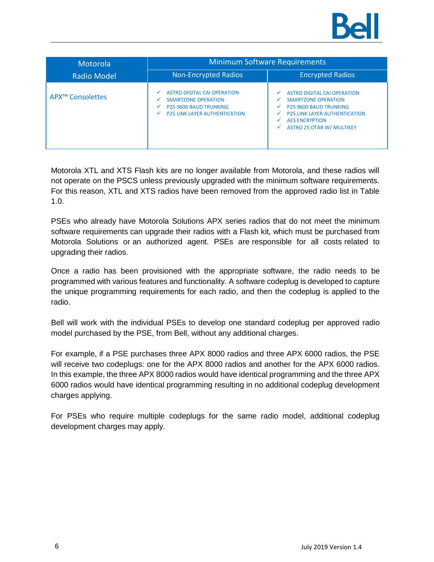

| Motorola                     | <b>Minimum Software Requirements</b>                                                                                                                                                |                                                                                                                                                                                                                                      |  |
|------------------------------|-------------------------------------------------------------------------------------------------------------------------------------------------------------------------------------|--------------------------------------------------------------------------------------------------------------------------------------------------------------------------------------------------------------------------------------|--|
| <b>Radio Model</b>           | <b>Non-Encrypted Radios</b>                                                                                                                                                         | <b>Encrypted Radios</b>                                                                                                                                                                                                              |  |
| APX <sup>™</sup> Consolettes | <b>ASTRO DIGITAL CAI OPERATION</b><br>✓<br><b>SMARTZONE OPERATION</b><br>✓<br><b>P25 9600 BAUD TRUNKING</b><br>$\checkmark$<br><b>P25 LINK LAYER AUTHENTICATION</b><br>$\checkmark$ | <b>ASTRO DIGITAL CAI OPERATION</b><br>✓<br><b>SMARTZONE OPERATION</b><br>✓<br><b>P25 9600 BAUD TRUNKING</b><br>✓<br><b>P25 LINK LAYER AUTHENTICATION</b><br>v<br><b>AES ENCRYPTION</b><br>✓<br><b>ASTRO 25 OTAR W/ MULTIKEY</b><br>✓ |  |

Motorola XTL and XTS Flash kits are no longer available from Motorola, and these radios will not operate on the PSCS unless previously upgraded with the minimum software requirements. For this reason, XTL and XTS radios have been removed from the approved radio list in Table 1.0.

PSEs who already have Motorola Solutions APX series radios that do not meet the minimum software requirements can upgrade their radios with a Flash kit, which must be purchased from Motorola Solutions or an authorized agent. PSEs are responsible for all costs related to upgrading their radios.

Once a radio has been provisioned with the appropriate software, the radio needs to be programmed with various features and functionality. A software codeplug is developed to capture the unique programming requirements for each radio, and then the codeplug is applied to the radio.

Bell will work with the individual PSEs to develop one standard codeplug per approved radio model purchased by the PSE, from Bell, without any additional charges.

For example, if a PSE purchases three APX 8000 radios and three APX 6000 radios, the PSE will receive two codeplugs: one for the APX 8000 radios and another for the APX 6000 radios. In this example, the three APX 8000 radios would have identical programming and the three APX 6000 radios would have identical programming resulting in no additional codeplug development charges applying.

For PSEs who require multiple codeplugs for the same radio model, additional codeplug development charges may apply.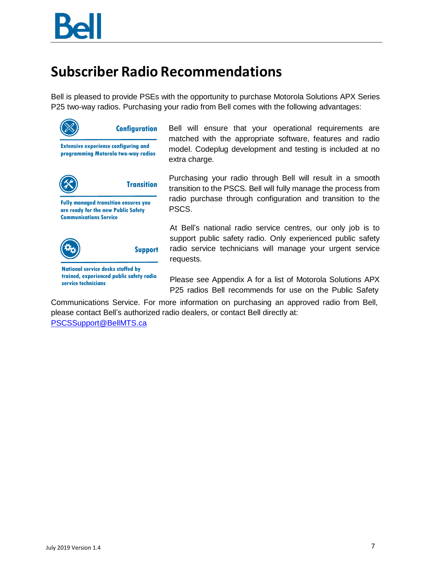#### **Subscriber Radio Recommendations**

Bell is pleased to provide PSEs with the opportunity to purchase Motorola Solutions APX Series P25 two-way radios. Purchasing your radio from Bell comes with the following advantages:



Bell will ensure that your operational requirements are matched with the appropriate software, features and radio model. Codeplug development and testing is included at no extra charge.

Purchasing your radio through Bell will result in a smooth transition to the PSCS. Bell will fully manage the process from radio purchase through configuration and transition to the PSCS.

At Bell's national radio service centres, our only job is to support public safety radio. Only experienced public safety radio service technicians will manage your urgent service requests.

Please see Appendix A for a list of Motorola Solutions APX P25 radios Bell recommends for use on the Public Safety

Communications Service. For more information on purchasing an approved radio from Bell, please contact Bell's authorized radio dealers, or contact Bell directly at:

[PSCSSupport@BellMTS.ca](mailto:PSCSSupport@BellMTS.ca)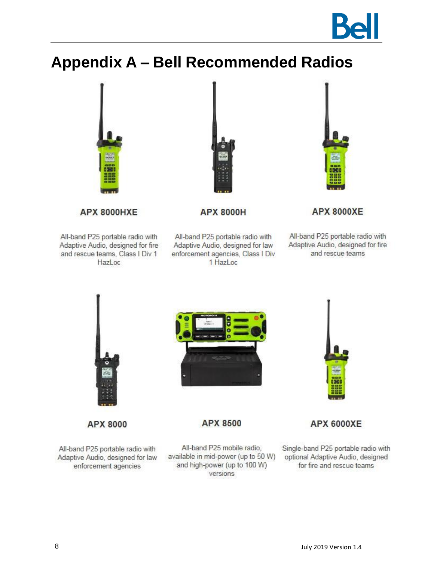

# <span id="page-9-0"></span>**Appendix A - Bell Recommended Radios**



**APX 8000HXE** 

All-band P25 portable radio with Adaptive Audio, designed for fire and rescue teams, Class I Div 1 HazLoc



**APX 8000H** 

All-band P25 portable radio with Adaptive Audio, designed for law enforcement agencies, Class I Div 1 HazLoc



**APX 8000XE** 

All-band P25 portable radio with Adaptive Audio, designed for fire and rescue teams



**APX 8000** 

All-band P25 portable radio with Adaptive Audio, designed for law enforcement agencies



**APX 8500** 

All-band P25 mobile radio, available in mid-power (up to 50 W) and high-power (up to 100 W) versions



**APX 6000XE** 

Single-band P25 portable radio with optional Adaptive Audio, designed for fire and rescue teams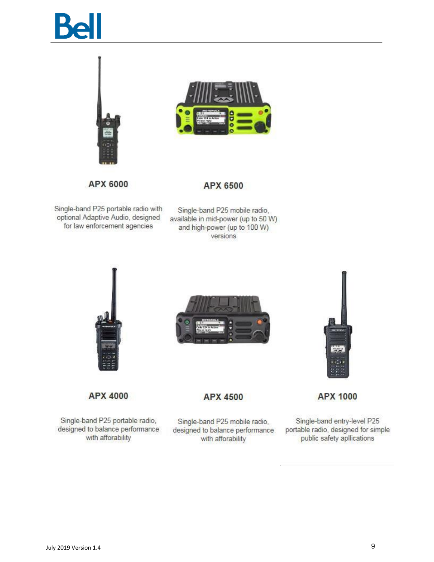



APX 6000

**APX 6500** 

Single-band P25 portable radio with optional Adaptive Audio, designed for law enforcement agencies

Single-band P25 mobile radio, available in mid-power (up to 50 W) and high-power (up to 100 W) versions







**APX 4000** 

Single-band P25 portable radio, designed to balance performance with afforability

**APX 4500** 

Single-band P25 mobile radio, designed to balance performance with afforability

Single-band entry-level P25 portable radio, designed for simple public safety apllications

**APX 1000**